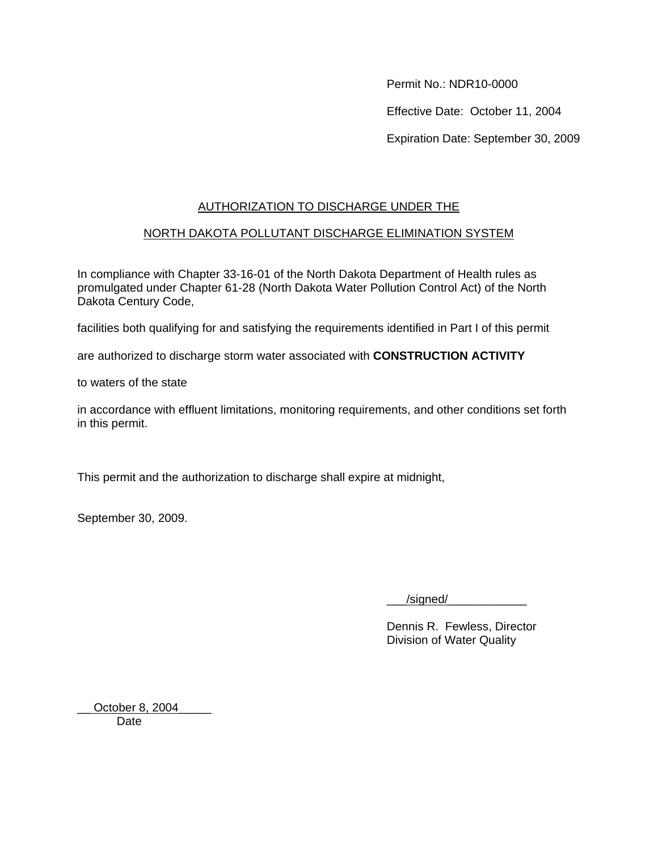Permit No.: NDR10-0000

Effective Date: October 11, 2004

Expiration Date: September 30, 2009

# AUTHORIZATION TO DISCHARGE UNDER THE

# NORTH DAKOTA POLLUTANT DISCHARGE ELIMINATION SYSTEM

In compliance with Chapter 33-16-01 of the North Dakota Department of Health rules as promulgated under Chapter 61-28 (North Dakota Water Pollution Control Act) of the North Dakota Century Code,

facilities both qualifying for and satisfying the requirements identified in Part I of this permit

are authorized to discharge storm water associated with **CONSTRUCTION ACTIVITY**

to waters of the state

in accordance with effluent limitations, monitoring requirements, and other conditions set forth in this permit.

This permit and the authorization to discharge shall expire at midnight,

September 30, 2009.

/signed/

Dennis R. Fewless, Director Division of Water Quality

October 8, 2004 **Date**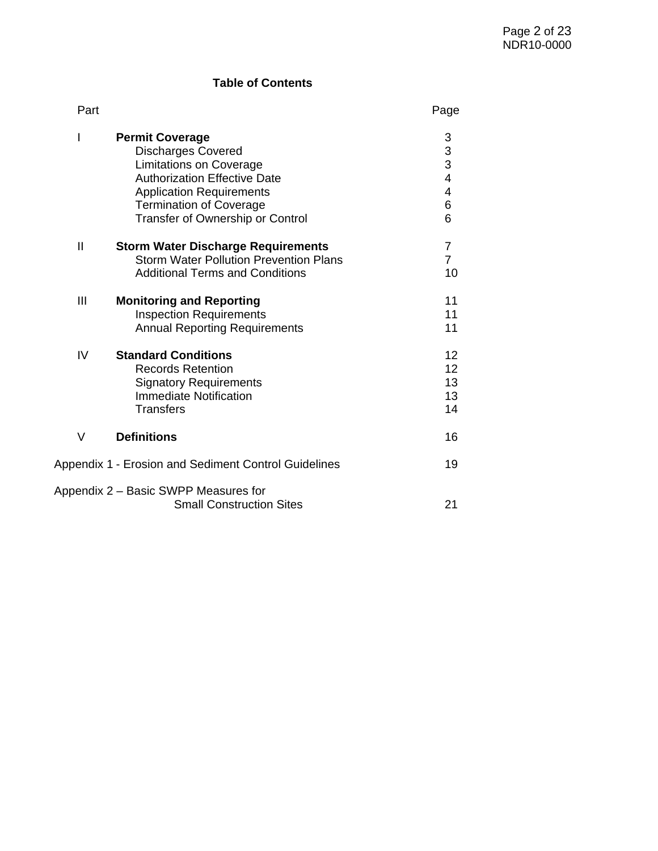# **Table of Contents**

| Part                                                 |                                                                                                                                                                                                                                       | Page                                                                            |
|------------------------------------------------------|---------------------------------------------------------------------------------------------------------------------------------------------------------------------------------------------------------------------------------------|---------------------------------------------------------------------------------|
| I                                                    | <b>Permit Coverage</b><br><b>Discharges Covered</b><br><b>Limitations on Coverage</b><br><b>Authorization Effective Date</b><br><b>Application Requirements</b><br><b>Termination of Coverage</b><br>Transfer of Ownership or Control | $\begin{array}{c} 3 \\ 3 \\ 4 \end{array}$<br>$\overline{\mathbf{4}}$<br>6<br>6 |
| $\mathbf{I}$                                         | <b>Storm Water Discharge Requirements</b><br><b>Storm Water Pollution Prevention Plans</b><br><b>Additional Terms and Conditions</b>                                                                                                  | $\overline{7}$<br>$\overline{7}$<br>10                                          |
| III                                                  | <b>Monitoring and Reporting</b><br><b>Inspection Requirements</b><br><b>Annual Reporting Requirements</b>                                                                                                                             | 11<br>11<br>11                                                                  |
| IV                                                   | <b>Standard Conditions</b><br><b>Records Retention</b><br><b>Signatory Requirements</b><br><b>Immediate Notification</b><br><b>Transfers</b>                                                                                          | 12<br>12<br>13<br>13<br>14                                                      |
| V                                                    | <b>Definitions</b>                                                                                                                                                                                                                    | 16                                                                              |
| Appendix 1 - Erosion and Sediment Control Guidelines |                                                                                                                                                                                                                                       | 19                                                                              |
|                                                      | Appendix 2 – Basic SWPP Measures for<br><b>Small Construction Sites</b>                                                                                                                                                               | 21                                                                              |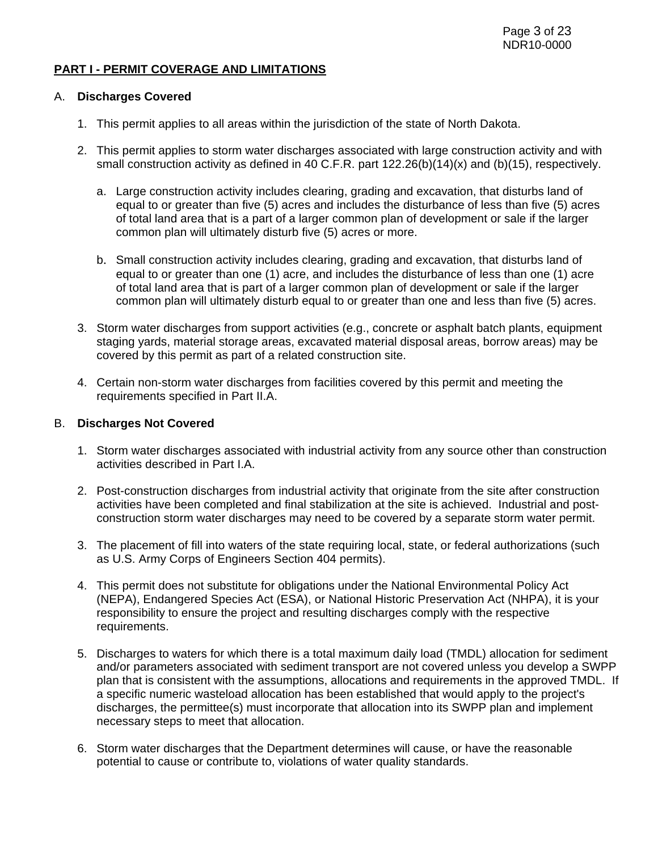#### **PART I - PERMIT COVERAGE AND LIMITATIONS**

#### A. **Discharges Covered**

- 1. This permit applies to all areas within the jurisdiction of the state of North Dakota.
- 2. This permit applies to storm water discharges associated with large construction activity and with small construction activity as defined in 40 C.F.R. part 122.26(b)(14)(x) and (b)(15), respectively.
	- a. Large construction activity includes clearing, grading and excavation, that disturbs land of equal to or greater than five (5) acres and includes the disturbance of less than five (5) acres of total land area that is a part of a larger common plan of development or sale if the larger common plan will ultimately disturb five (5) acres or more.
	- b. Small construction activity includes clearing, grading and excavation, that disturbs land of equal to or greater than one (1) acre, and includes the disturbance of less than one (1) acre of total land area that is part of a larger common plan of development or sale if the larger common plan will ultimately disturb equal to or greater than one and less than five (5) acres.
- 3. Storm water discharges from support activities (e.g., concrete or asphalt batch plants, equipment staging yards, material storage areas, excavated material disposal areas, borrow areas) may be covered by this permit as part of a related construction site.
- 4. Certain non-storm water discharges from facilities covered by this permit and meeting the requirements specified in Part II.A.

#### B. **Discharges Not Covered**

- 1. Storm water discharges associated with industrial activity from any source other than construction activities described in Part I.A.
- 2. Post-construction discharges from industrial activity that originate from the site after construction activities have been completed and final stabilization at the site is achieved. Industrial and postconstruction storm water discharges may need to be covered by a separate storm water permit.
- 3. The placement of fill into waters of the state requiring local, state, or federal authorizations (such as U.S. Army Corps of Engineers Section 404 permits).
- 4. This permit does not substitute for obligations under the National Environmental Policy Act (NEPA), Endangered Species Act (ESA), or National Historic Preservation Act (NHPA), it is your responsibility to ensure the project and resulting discharges comply with the respective requirements.
- 5. Discharges to waters for which there is a total maximum daily load (TMDL) allocation for sediment and/or parameters associated with sediment transport are not covered unless you develop a SWPP plan that is consistent with the assumptions, allocations and requirements in the approved TMDL. If a specific numeric wasteload allocation has been established that would apply to the project's discharges, the permittee(s) must incorporate that allocation into its SWPP plan and implement necessary steps to meet that allocation.
- 6. Storm water discharges that the Department determines will cause, or have the reasonable potential to cause or contribute to, violations of water quality standards.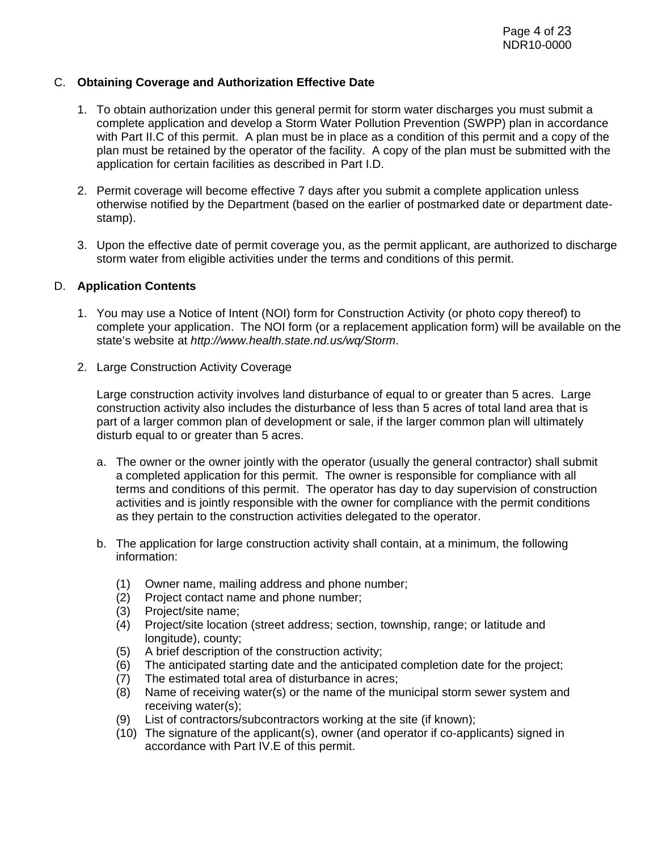### C. **Obtaining Coverage and Authorization Effective Date**

- 1. To obtain authorization under this general permit for storm water discharges you must submit a complete application and develop a Storm Water Pollution Prevention (SWPP) plan in accordance with Part II.C of this permit. A plan must be in place as a condition of this permit and a copy of the plan must be retained by the operator of the facility. A copy of the plan must be submitted with the application for certain facilities as described in Part I.D.
- 2. Permit coverage will become effective 7 days after you submit a complete application unless otherwise notified by the Department (based on the earlier of postmarked date or department datestamp).
- 3. Upon the effective date of permit coverage you, as the permit applicant, are authorized to discharge storm water from eligible activities under the terms and conditions of this permit.

#### D. **Application Contents**

- 1. You may use a Notice of Intent (NOI) form for Construction Activity (or photo copy thereof) to complete your application. The NOI form (or a replacement application form) will be available on the state's website at http://www.health.state.nd.us/wq/Storm.
- 2. Large Construction Activity Coverage

Large construction activity involves land disturbance of equal to or greater than 5 acres. Large construction activity also includes the disturbance of less than 5 acres of total land area that is part of a larger common plan of development or sale, if the larger common plan will ultimately disturb equal to or greater than 5 acres.

- a. The owner or the owner jointly with the operator (usually the general contractor) shall submit a completed application for this permit. The owner is responsible for compliance with all terms and conditions of this permit. The operator has day to day supervision of construction activities and is jointly responsible with the owner for compliance with the permit conditions as they pertain to the construction activities delegated to the operator.
- b. The application for large construction activity shall contain, at a minimum, the following information:
	- (1) Owner name, mailing address and phone number;
	- (2) Project contact name and phone number;
	- (3) Project/site name;
	- (4) Project/site location (street address; section, township, range; or latitude and longitude), county;
	- (5) A brief description of the construction activity;
	- (6) The anticipated starting date and the anticipated completion date for the project;
	- (7) The estimated total area of disturbance in acres;
	- (8) Name of receiving water(s) or the name of the municipal storm sewer system and receiving water(s);
	- (9) List of contractors/subcontractors working at the site (if known);
	- (10) The signature of the applicant(s), owner (and operator if co-applicants) signed in accordance with Part IV.E of this permit.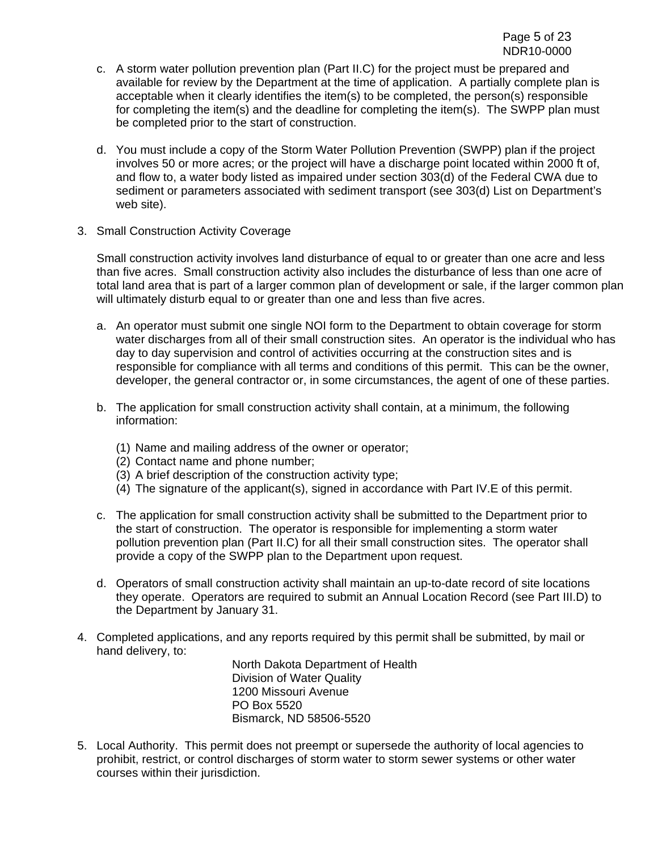- c. A storm water pollution prevention plan (Part II.C) for the project must be prepared and available for review by the Department at the time of application. A partially complete plan is acceptable when it clearly identifies the item(s) to be completed, the person(s) responsible for completing the item(s) and the deadline for completing the item(s). The SWPP plan must be completed prior to the start of construction.
- d. You must include a copy of the Storm Water Pollution Prevention (SWPP) plan if the project involves 50 or more acres; or the project will have a discharge point located within 2000 ft of, and flow to, a water body listed as impaired under section 303(d) of the Federal CWA due to sediment or parameters associated with sediment transport (see 303(d) List on Department's web site).
- 3. Small Construction Activity Coverage

Small construction activity involves land disturbance of equal to or greater than one acre and less than five acres. Small construction activity also includes the disturbance of less than one acre of total land area that is part of a larger common plan of development or sale, if the larger common plan will ultimately disturb equal to or greater than one and less than five acres.

- a. An operator must submit one single NOI form to the Department to obtain coverage for storm water discharges from all of their small construction sites. An operator is the individual who has day to day supervision and control of activities occurring at the construction sites and is responsible for compliance with all terms and conditions of this permit. This can be the owner, developer, the general contractor or, in some circumstances, the agent of one of these parties.
- b. The application for small construction activity shall contain, at a minimum, the following information:
	- (1) Name and mailing address of the owner or operator;
	- (2) Contact name and phone number;
	- (3) A brief description of the construction activity type;
	- (4) The signature of the applicant(s), signed in accordance with Part IV.E of this permit.
- c. The application for small construction activity shall be submitted to the Department prior to the start of construction. The operator is responsible for implementing a storm water pollution prevention plan (Part II.C) for all their small construction sites. The operator shall provide a copy of the SWPP plan to the Department upon request.
- d. Operators of small construction activity shall maintain an up-to-date record of site locations they operate. Operators are required to submit an Annual Location Record (see Part III.D) to the Department by January 31.
- 4. Completed applications, and any reports required by this permit shall be submitted, by mail or hand delivery, to:

North Dakota Department of Health Division of Water Quality 1200 Missouri Avenue PO Box 5520 Bismarck, ND 58506-5520

5. Local Authority. This permit does not preempt or supersede the authority of local agencies to prohibit, restrict, or control discharges of storm water to storm sewer systems or other water courses within their jurisdiction.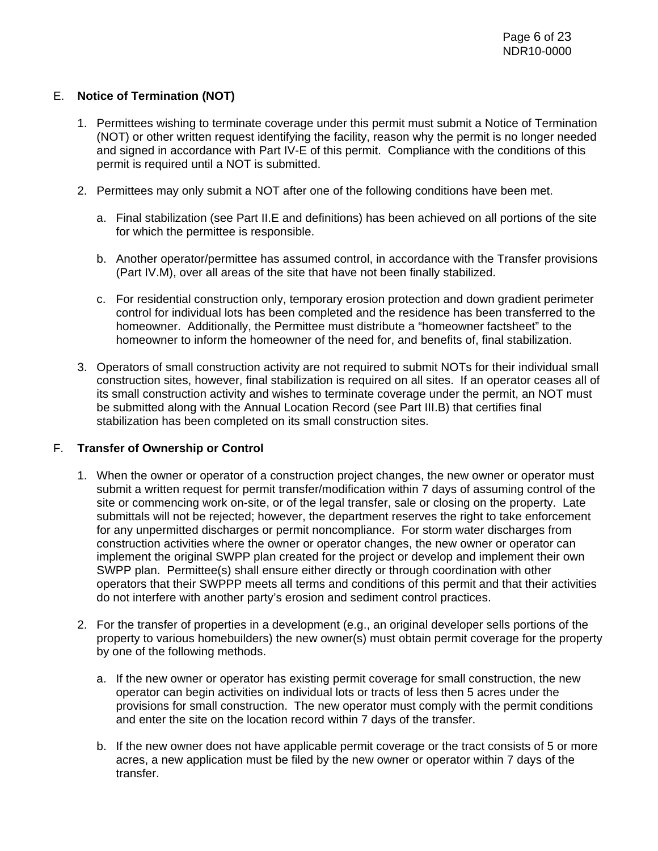### E. **Notice of Termination (NOT)**

- 1. Permittees wishing to terminate coverage under this permit must submit a Notice of Termination (NOT) or other written request identifying the facility, reason why the permit is no longer needed and signed in accordance with Part IV-E of this permit. Compliance with the conditions of this permit is required until a NOT is submitted.
- 2. Permittees may only submit a NOT after one of the following conditions have been met.
	- a. Final stabilization (see Part II.E and definitions) has been achieved on all portions of the site for which the permittee is responsible.
	- b. Another operator/permittee has assumed control, in accordance with the Transfer provisions (Part IV.M), over all areas of the site that have not been finally stabilized.
	- c. For residential construction only, temporary erosion protection and down gradient perimeter control for individual lots has been completed and the residence has been transferred to the homeowner. Additionally, the Permittee must distribute a "homeowner factsheet" to the homeowner to inform the homeowner of the need for, and benefits of, final stabilization.
- 3. Operators of small construction activity are not required to submit NOTs for their individual small construction sites, however, final stabilization is required on all sites. If an operator ceases all of its small construction activity and wishes to terminate coverage under the permit, an NOT must be submitted along with the Annual Location Record (see Part III.B) that certifies final stabilization has been completed on its small construction sites.

### F. **Transfer of Ownership or Control**

- 1. When the owner or operator of a construction project changes, the new owner or operator must submit a written request for permit transfer/modification within 7 days of assuming control of the site or commencing work on-site, or of the legal transfer, sale or closing on the property. Late submittals will not be rejected; however, the department reserves the right to take enforcement for any unpermitted discharges or permit noncompliance. For storm water discharges from construction activities where the owner or operator changes, the new owner or operator can implement the original SWPP plan created for the project or develop and implement their own SWPP plan. Permittee(s) shall ensure either directly or through coordination with other operators that their SWPPP meets all terms and conditions of this permit and that their activities do not interfere with another party's erosion and sediment control practices.
- 2. For the transfer of properties in a development (e.g., an original developer sells portions of the property to various homebuilders) the new owner(s) must obtain permit coverage for the property by one of the following methods.
	- a. If the new owner or operator has existing permit coverage for small construction, the new operator can begin activities on individual lots or tracts of less then 5 acres under the provisions for small construction. The new operator must comply with the permit conditions and enter the site on the location record within 7 days of the transfer.
	- b. If the new owner does not have applicable permit coverage or the tract consists of 5 or more acres, a new application must be filed by the new owner or operator within 7 days of the transfer.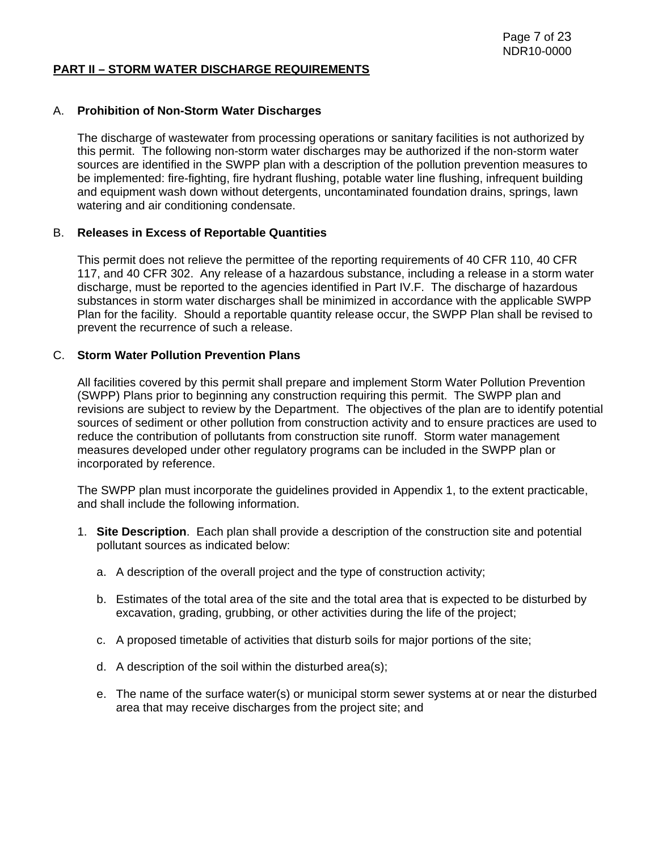#### **PART II – STORM WATER DISCHARGE REQUIREMENTS**

#### A. **Prohibition of Non-Storm Water Discharges**

The discharge of wastewater from processing operations or sanitary facilities is not authorized by this permit. The following non-storm water discharges may be authorized if the non-storm water sources are identified in the SWPP plan with a description of the pollution prevention measures to be implemented: fire-fighting, fire hydrant flushing, potable water line flushing, infrequent building and equipment wash down without detergents, uncontaminated foundation drains, springs, lawn watering and air conditioning condensate.

#### B. **Releases in Excess of Reportable Quantities**

This permit does not relieve the permittee of the reporting requirements of 40 CFR 110, 40 CFR 117, and 40 CFR 302. Any release of a hazardous substance, including a release in a storm water discharge, must be reported to the agencies identified in Part IV.F. The discharge of hazardous substances in storm water discharges shall be minimized in accordance with the applicable SWPP Plan for the facility. Should a reportable quantity release occur, the SWPP Plan shall be revised to prevent the recurrence of such a release.

### C. **Storm Water Pollution Prevention Plans**

All facilities covered by this permit shall prepare and implement Storm Water Pollution Prevention (SWPP) Plans prior to beginning any construction requiring this permit. The SWPP plan and revisions are subject to review by the Department. The objectives of the plan are to identify potential sources of sediment or other pollution from construction activity and to ensure practices are used to reduce the contribution of pollutants from construction site runoff. Storm water management measures developed under other regulatory programs can be included in the SWPP plan or incorporated by reference.

The SWPP plan must incorporate the guidelines provided in Appendix 1, to the extent practicable, and shall include the following information.

- 1. **Site Description**. Each plan shall provide a description of the construction site and potential pollutant sources as indicated below:
	- a. A description of the overall project and the type of construction activity;
	- b. Estimates of the total area of the site and the total area that is expected to be disturbed by excavation, grading, grubbing, or other activities during the life of the project;
	- c. A proposed timetable of activities that disturb soils for major portions of the site;
	- d. A description of the soil within the disturbed area(s);
	- e. The name of the surface water(s) or municipal storm sewer systems at or near the disturbed area that may receive discharges from the project site; and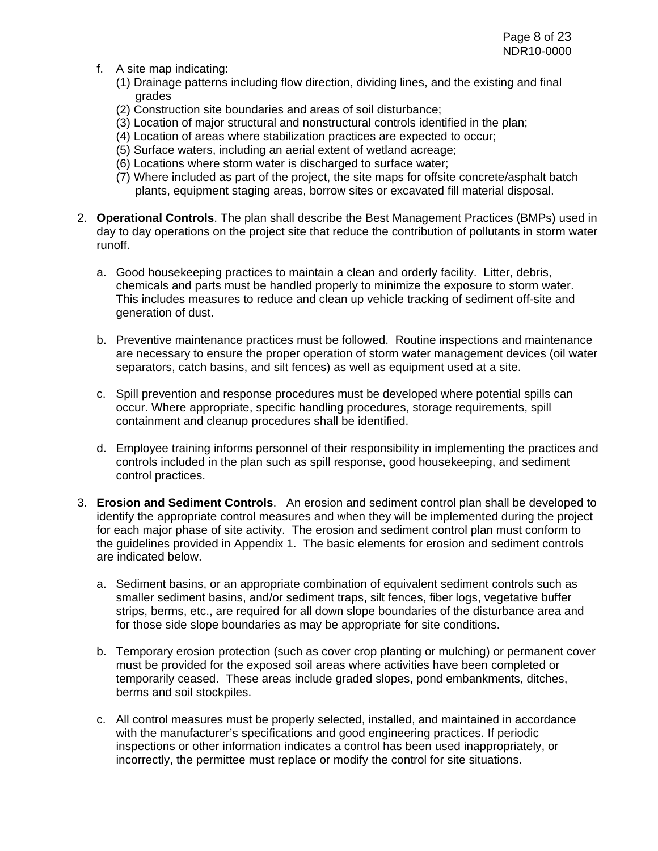- f. A site map indicating:
	- (1) Drainage patterns including flow direction, dividing lines, and the existing and final grades
	- (2) Construction site boundaries and areas of soil disturbance;
	- (3) Location of major structural and nonstructural controls identified in the plan;
	- (4) Location of areas where stabilization practices are expected to occur;
	- (5) Surface waters, including an aerial extent of wetland acreage;
	- (6) Locations where storm water is discharged to surface water;
	- (7) Where included as part of the project, the site maps for offsite concrete/asphalt batch plants, equipment staging areas, borrow sites or excavated fill material disposal.
- 2. **Operational Controls**. The plan shall describe the Best Management Practices (BMPs) used in day to day operations on the project site that reduce the contribution of pollutants in storm water runoff.
	- a. Good housekeeping practices to maintain a clean and orderly facility. Litter, debris, chemicals and parts must be handled properly to minimize the exposure to storm water. This includes measures to reduce and clean up vehicle tracking of sediment off-site and generation of dust.
	- b. Preventive maintenance practices must be followed. Routine inspections and maintenance are necessary to ensure the proper operation of storm water management devices (oil water separators, catch basins, and silt fences) as well as equipment used at a site.
	- c. Spill prevention and response procedures must be developed where potential spills can occur. Where appropriate, specific handling procedures, storage requirements, spill containment and cleanup procedures shall be identified.
	- d. Employee training informs personnel of their responsibility in implementing the practices and controls included in the plan such as spill response, good housekeeping, and sediment control practices.
- 3. **Erosion and Sediment Controls**. An erosion and sediment control plan shall be developed to identify the appropriate control measures and when they will be implemented during the project for each major phase of site activity. The erosion and sediment control plan must conform to the guidelines provided in Appendix 1. The basic elements for erosion and sediment controls are indicated below.
	- a. Sediment basins, or an appropriate combination of equivalent sediment controls such as smaller sediment basins, and/or sediment traps, silt fences, fiber logs, vegetative buffer strips, berms, etc., are required for all down slope boundaries of the disturbance area and for those side slope boundaries as may be appropriate for site conditions.
	- b. Temporary erosion protection (such as cover crop planting or mulching) or permanent cover must be provided for the exposed soil areas where activities have been completed or temporarily ceased. These areas include graded slopes, pond embankments, ditches, berms and soil stockpiles.
	- c. All control measures must be properly selected, installed, and maintained in accordance with the manufacturer's specifications and good engineering practices. If periodic inspections or other information indicates a control has been used inappropriately, or incorrectly, the permittee must replace or modify the control for site situations.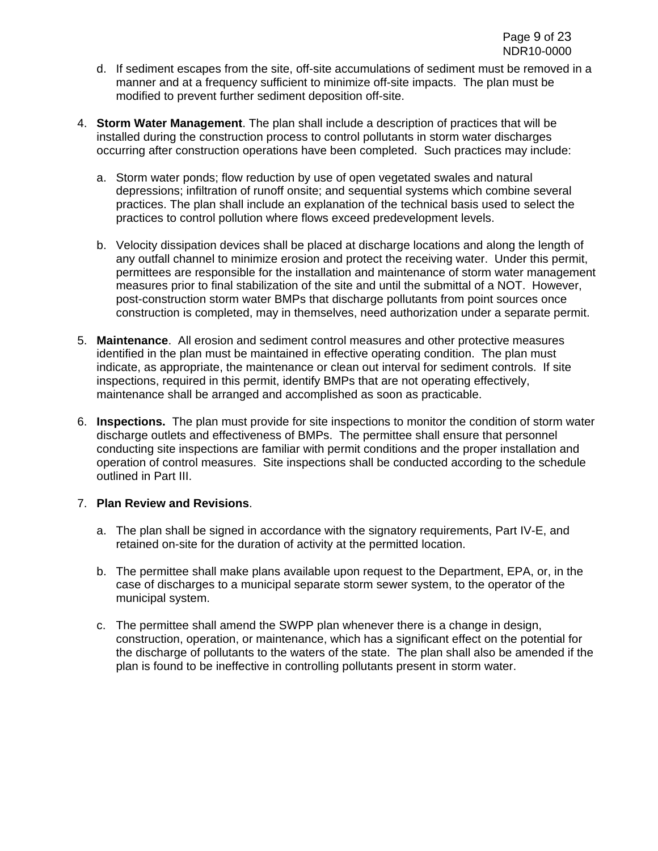- d. If sediment escapes from the site, off-site accumulations of sediment must be removed in a manner and at a frequency sufficient to minimize off-site impacts. The plan must be modified to prevent further sediment deposition off-site.
- 4. **Storm Water Management**. The plan shall include a description of practices that will be installed during the construction process to control pollutants in storm water discharges occurring after construction operations have been completed. Such practices may include:
	- a. Storm water ponds; flow reduction by use of open vegetated swales and natural depressions; infiltration of runoff onsite; and sequential systems which combine several practices. The plan shall include an explanation of the technical basis used to select the practices to control pollution where flows exceed predevelopment levels.
	- b. Velocity dissipation devices shall be placed at discharge locations and along the length of any outfall channel to minimize erosion and protect the receiving water. Under this permit, permittees are responsible for the installation and maintenance of storm water management measures prior to final stabilization of the site and until the submittal of a NOT. However, post-construction storm water BMPs that discharge pollutants from point sources once construction is completed, may in themselves, need authorization under a separate permit.
- 5. **Maintenance**. All erosion and sediment control measures and other protective measures identified in the plan must be maintained in effective operating condition. The plan must indicate, as appropriate, the maintenance or clean out interval for sediment controls. If site inspections, required in this permit, identify BMPs that are not operating effectively, maintenance shall be arranged and accomplished as soon as practicable.
- 6. **Inspections.** The plan must provide for site inspections to monitor the condition of storm water discharge outlets and effectiveness of BMPs. The permittee shall ensure that personnel conducting site inspections are familiar with permit conditions and the proper installation and operation of control measures. Site inspections shall be conducted according to the schedule outlined in Part III.

### 7. **Plan Review and Revisions**.

- a. The plan shall be signed in accordance with the signatory requirements, Part IV-E, and retained on-site for the duration of activity at the permitted location.
- b. The permittee shall make plans available upon request to the Department, EPA, or, in the case of discharges to a municipal separate storm sewer system, to the operator of the municipal system.
- c. The permittee shall amend the SWPP plan whenever there is a change in design, construction, operation, or maintenance, which has a significant effect on the potential for the discharge of pollutants to the waters of the state. The plan shall also be amended if the plan is found to be ineffective in controlling pollutants present in storm water.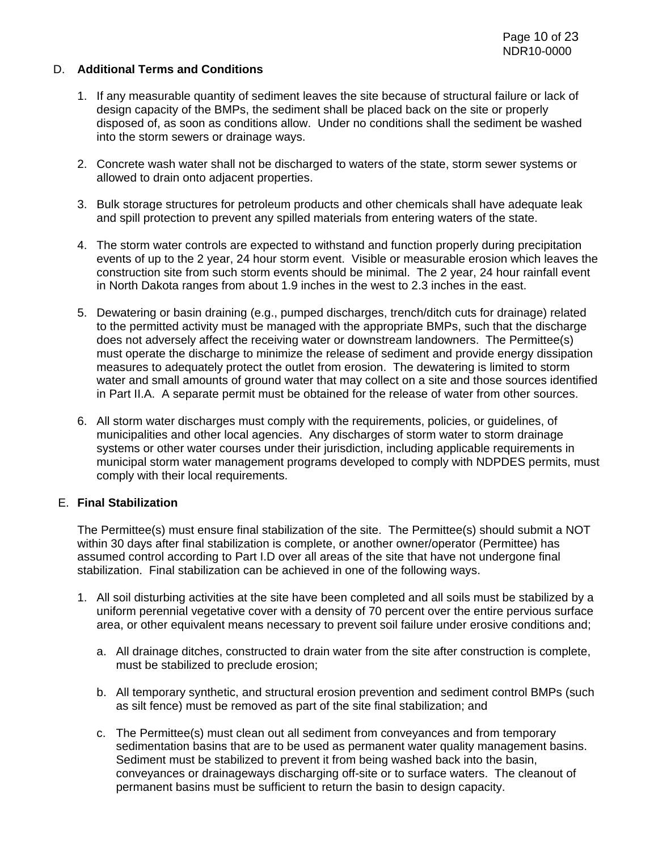### D. **Additional Terms and Conditions**

- 1. If any measurable quantity of sediment leaves the site because of structural failure or lack of design capacity of the BMPs, the sediment shall be placed back on the site or properly disposed of, as soon as conditions allow. Under no conditions shall the sediment be washed into the storm sewers or drainage ways.
- 2. Concrete wash water shall not be discharged to waters of the state, storm sewer systems or allowed to drain onto adjacent properties.
- 3. Bulk storage structures for petroleum products and other chemicals shall have adequate leak and spill protection to prevent any spilled materials from entering waters of the state.
- 4. The storm water controls are expected to withstand and function properly during precipitation events of up to the 2 year, 24 hour storm event. Visible or measurable erosion which leaves the construction site from such storm events should be minimal. The 2 year, 24 hour rainfall event in North Dakota ranges from about 1.9 inches in the west to 2.3 inches in the east.
- 5. Dewatering or basin draining (e.g., pumped discharges, trench/ditch cuts for drainage) related to the permitted activity must be managed with the appropriate BMPs, such that the discharge does not adversely affect the receiving water or downstream landowners. The Permittee(s) must operate the discharge to minimize the release of sediment and provide energy dissipation measures to adequately protect the outlet from erosion. The dewatering is limited to storm water and small amounts of ground water that may collect on a site and those sources identified in Part II.A. A separate permit must be obtained for the release of water from other sources.
- 6. All storm water discharges must comply with the requirements, policies, or guidelines, of municipalities and other local agencies. Any discharges of storm water to storm drainage systems or other water courses under their jurisdiction, including applicable requirements in municipal storm water management programs developed to comply with NDPDES permits, must comply with their local requirements.

#### E. **Final Stabilization**

The Permittee(s) must ensure final stabilization of the site. The Permittee(s) should submit a NOT within 30 days after final stabilization is complete, or another owner/operator (Permittee) has assumed control according to Part I.D over all areas of the site that have not undergone final stabilization. Final stabilization can be achieved in one of the following ways.

- 1. All soil disturbing activities at the site have been completed and all soils must be stabilized by a uniform perennial vegetative cover with a density of 70 percent over the entire pervious surface area, or other equivalent means necessary to prevent soil failure under erosive conditions and;
	- a. All drainage ditches, constructed to drain water from the site after construction is complete, must be stabilized to preclude erosion;
	- b. All temporary synthetic, and structural erosion prevention and sediment control BMPs (such as silt fence) must be removed as part of the site final stabilization; and
	- c. The Permittee(s) must clean out all sediment from conveyances and from temporary sedimentation basins that are to be used as permanent water quality management basins. Sediment must be stabilized to prevent it from being washed back into the basin, conveyances or drainageways discharging off-site or to surface waters. The cleanout of permanent basins must be sufficient to return the basin to design capacity.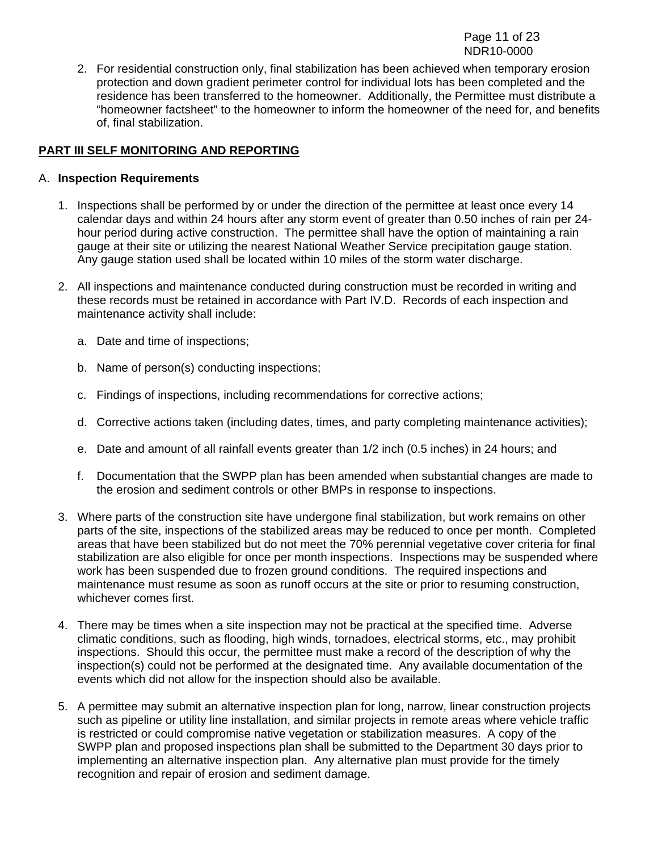2. For residential construction only, final stabilization has been achieved when temporary erosion protection and down gradient perimeter control for individual lots has been completed and the residence has been transferred to the homeowner. Additionally, the Permittee must distribute a "homeowner factsheet" to the homeowner to inform the homeowner of the need for, and benefits of, final stabilization.

## **PART III SELF MONITORING AND REPORTING**

### A. **Inspection Requirements**

- 1. Inspections shall be performed by or under the direction of the permittee at least once every 14 calendar days and within 24 hours after any storm event of greater than 0.50 inches of rain per 24 hour period during active construction. The permittee shall have the option of maintaining a rain gauge at their site or utilizing the nearest National Weather Service precipitation gauge station. Any gauge station used shall be located within 10 miles of the storm water discharge.
- 2. All inspections and maintenance conducted during construction must be recorded in writing and these records must be retained in accordance with Part IV.D. Records of each inspection and maintenance activity shall include:
	- a. Date and time of inspections;
	- b. Name of person(s) conducting inspections;
	- c. Findings of inspections, including recommendations for corrective actions;
	- d. Corrective actions taken (including dates, times, and party completing maintenance activities);
	- e. Date and amount of all rainfall events greater than 1/2 inch (0.5 inches) in 24 hours; and
	- f. Documentation that the SWPP plan has been amended when substantial changes are made to the erosion and sediment controls or other BMPs in response to inspections.
- 3. Where parts of the construction site have undergone final stabilization, but work remains on other parts of the site, inspections of the stabilized areas may be reduced to once per month. Completed areas that have been stabilized but do not meet the 70% perennial vegetative cover criteria for final stabilization are also eligible for once per month inspections. Inspections may be suspended where work has been suspended due to frozen ground conditions. The required inspections and maintenance must resume as soon as runoff occurs at the site or prior to resuming construction, whichever comes first.
- 4. There may be times when a site inspection may not be practical at the specified time. Adverse climatic conditions, such as flooding, high winds, tornadoes, electrical storms, etc., may prohibit inspections. Should this occur, the permittee must make a record of the description of why the inspection(s) could not be performed at the designated time. Any available documentation of the events which did not allow for the inspection should also be available.
- 5. A permittee may submit an alternative inspection plan for long, narrow, linear construction projects such as pipeline or utility line installation, and similar projects in remote areas where vehicle traffic is restricted or could compromise native vegetation or stabilization measures. A copy of the SWPP plan and proposed inspections plan shall be submitted to the Department 30 days prior to implementing an alternative inspection plan. Any alternative plan must provide for the timely recognition and repair of erosion and sediment damage.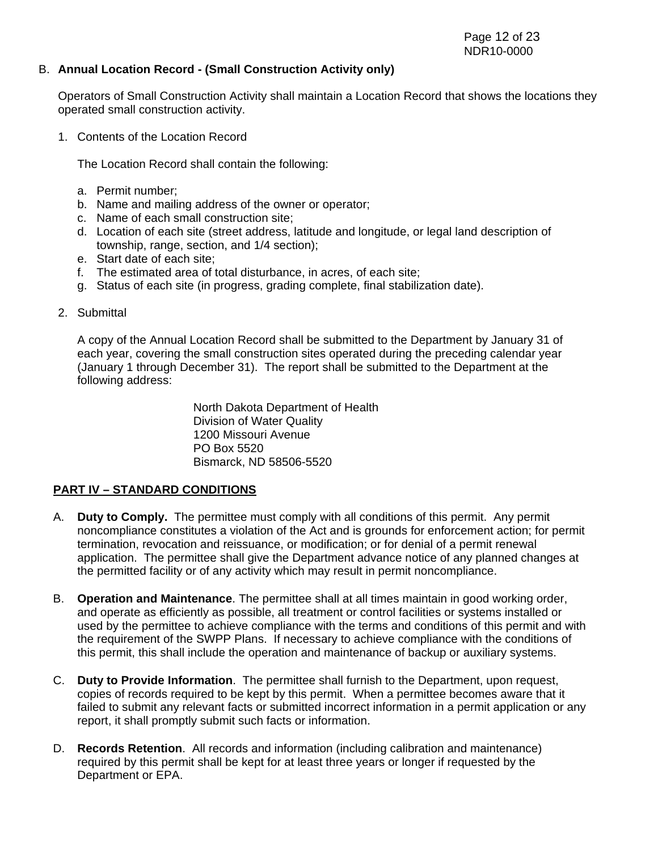### B. **Annual Location Record - (Small Construction Activity only)**

Operators of Small Construction Activity shall maintain a Location Record that shows the locations they operated small construction activity.

1. Contents of the Location Record

The Location Record shall contain the following:

- a. Permit number;
- b. Name and mailing address of the owner or operator;
- c. Name of each small construction site ;
- d. Location of each site (street address, latitude and longitude, or legal land description of township, range, section, and 1/4 section);
- e. Start date of each site;
- f. The estimated area of total disturbance, in acres, of each site;
- g. Status of each site (in progress, grading complete, final stabilization date).
- 2. Submittal

A copy of the Annual Location Record shall be submitted to the Department by January 31 of each year, covering the small construction sites operated during the preceding calendar year (January 1 through December 31). The report shall be submitted to the Department at the following address:

> North Dakota Department of Health Division of Water Quality 1200 Missouri Avenue PO Box 5520 Bismarck, ND 58506-5520

### **PART IV – STANDARD CONDITIONS**

- A. **Duty to Comply.** The permittee must comply with all conditions of this permit. Any permit noncompliance constitutes a violation of the Act and is grounds for enforcement action; for permit termination, revocation and reissuance, or modification; or for denial of a permit renewal application. The permittee shall give the Department advance notice of any planned changes at the permitted facility or of any activity which may result in permit noncompliance.
- B. **Operation and Maintenance**. The permittee shall at all times maintain in good working order, and operate as efficiently as possible, all treatment or control facilities or systems installed or used by the permittee to achieve compliance with the terms and conditions of this permit and with the requirement of the SWPP Plans. If necessary to achieve compliance with the conditions of this permit, this shall include the operation and maintenance of backup or auxiliary systems.
- C. **Duty to Provide Information**. The permittee shall furnish to the Department, upon request, copies of records required to be kept by this permit. When a permittee becomes aware that it failed to submit any relevant facts or submitted incorrect information in a permit application or any report, it shall promptly submit such facts or information.
- D. **Records Retention**. All records and information (including calibration and maintenance) required by this permit shall be kept for at least three years or longer if requested by the Department or EPA.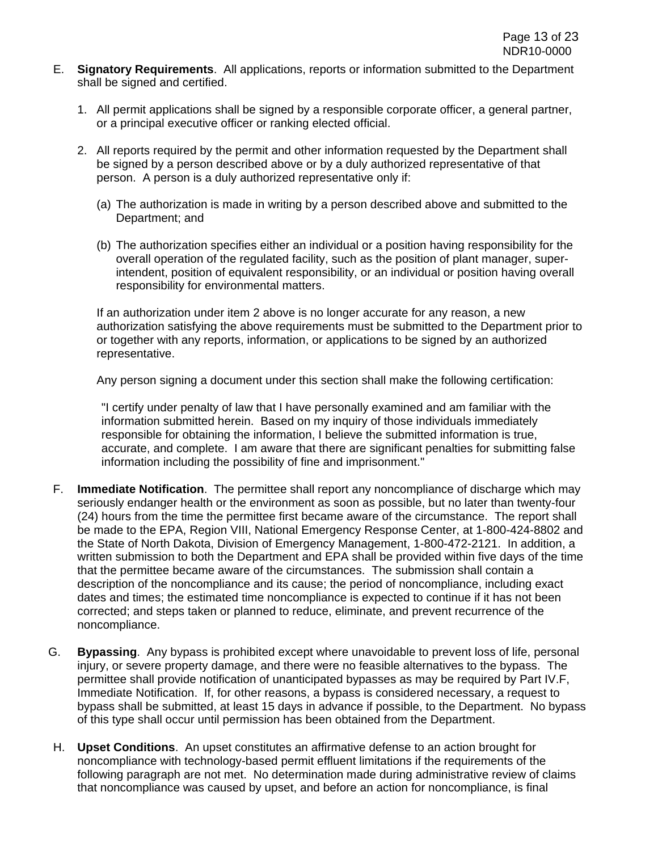- E. **Signatory Requirements**. All applications, reports or information submitted to the Department shall be signed and certified.
	- 1. All permit applications shall be signed by a responsible corporate officer, a general partner, or a principal executive officer or ranking elected official.
	- 2. All reports required by the permit and other information requested by the Department shall be signed by a person described above or by a duly authorized representative of that person. A person is a duly authorized representative only if:
		- (a) The authorization is made in writing by a person described above and submitted to the Department; and
		- (b) The authorization specifies either an individual or a position having responsibility for the overall operation of the regulated facility, such as the position of plant manager, superintendent, position of equivalent responsibility, or an individual or position having overall responsibility for environmental matters.

If an authorization under item 2 above is no longer accurate for any reason, a new authorization satisfying the above requirements must be submitted to the Department prior to or together with any reports, information, or applications to be signed by an authorized representative.

Any person signing a document under this section shall make the following certification:

"I certify under penalty of law that I have personally examined and am familiar with the information submitted herein. Based on my inquiry of those individuals immediately responsible for obtaining the information, I believe the submitted information is true, accurate, and complete. I am aware that there are significant penalties for submitting false information including the possibility of fine and imprisonment."

- F. **Immediate Notification**. The permittee shall report any noncompliance of discharge which may seriously endanger health or the environment as soon as possible, but no later than twenty-four (24) hours from the time the permittee first became aware of the circumstance. The report shall be made to the EPA, Region VIII, National Emergency Response Center, at 1-800-424-8802 and the State of North Dakota, Division of Emergency Management, 1-800-472-2121. In addition, a written submission to both the Department and EPA shall be provided within five days of the time that the permittee became aware of the circumstances. The submission shall contain a description of the noncompliance and its cause; the period of noncompliance, including exact dates and times; the estimated time noncompliance is expected to continue if it has not been corrected; and steps taken or planned to reduce, eliminate, and prevent recurrence of the noncompliance.
- G. **Bypassing**. Any bypass is prohibited except where unavoidable to prevent loss of life, personal injury, or severe property damage, and there were no feasible alternatives to the bypass. The permittee shall provide notification of unanticipated bypasses as may be required by Part IV.F, Immediate Notification. If, for other reasons, a bypass is considered necessary, a request to bypass shall be submitted, at least 15 days in advance if possible, to the Department. No bypass of this type shall occur until permission has been obtained from the Department.
- H. **Upset Conditions**. An upset constitutes an affirmative defense to an action brought for noncompliance with technology-based permit effluent limitations if the requirements of the following paragraph are not met. No determination made during administrative review of claims that noncompliance was caused by upset, and before an action for noncompliance, is final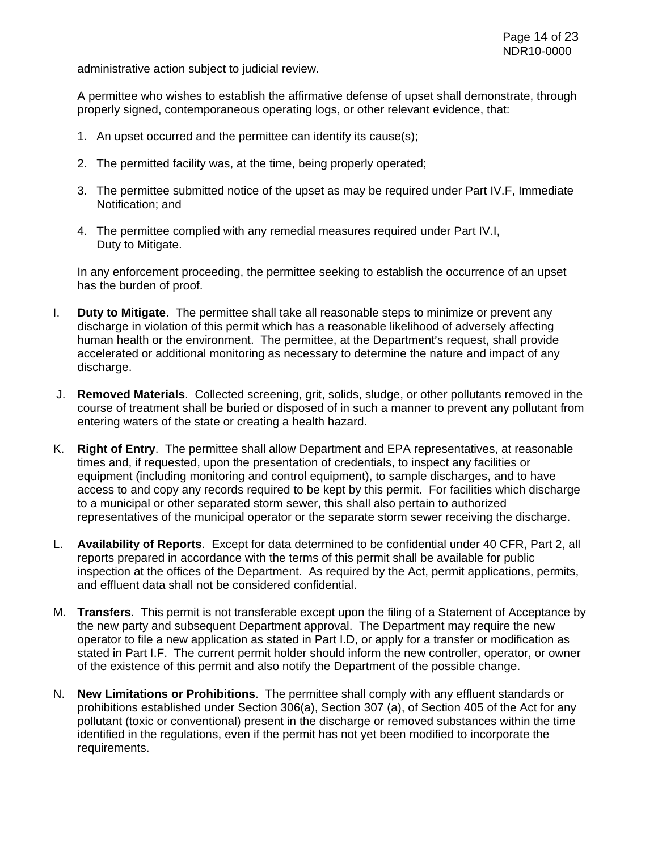administrative action subject to judicial review.

A permittee who wishes to establish the affirmative defense of upset shall demonstrate, through properly signed, contemporaneous operating logs, or other relevant evidence, that:

- 1. An upset occurred and the permittee can identify its cause(s);
- 2. The permitted facility was, at the time, being properly operated;
- 3. The permittee submitted notice of the upset as may be required under Part IV.F, Immediate Notification; and
- 4. The permittee complied with any remedial measures required under Part IV.I, Duty to Mitigate.

In any enforcement proceeding, the permittee seeking to establish the occurrence of an upset has the burden of proof.

- I. **Duty to Mitigate**. The permittee shall take all reasonable steps to minimize or prevent any discharge in violation of this permit which has a reasonable likelihood of adversely affecting human health or the environment. The permittee, at the Department's request, shall provide accelerated or additional monitoring as necessary to determine the nature and impact of any discharge.
- J. **Removed Materials**. Collected screening, grit, solids, sludge, or other pollutants removed in the course of treatment shall be buried or disposed of in such a manner to prevent any pollutant from entering waters of the state or creating a health hazard.
- K. **Right of Entry**.The permittee shall allow Department and EPA representatives, at reasonable times and, if requested, upon the presentation of credentials, to inspect any facilities or equipment (including monitoring and control equipment), to sample discharges, and to have access to and copy any records required to be kept by this permit. For facilities which discharge to a municipal or other separated storm sewer, this shall also pertain to authorized representatives of the municipal operator or the separate storm sewer receiving the discharge.
- L. **Availability of Reports**. Except for data determined to be confidential under 40 CFR, Part 2, all reports prepared in accordance with the terms of this permit shall be available for public inspection at the offices of the Department. As required by the Act, permit applications, permits, and effluent data shall not be considered confidential.
- M. **Transfers**. This permit is not transferable except upon the filing of a Statement of Acceptance by the new party and subsequent Department approval. The Department may require the new operator to file a new application as stated in Part I.D, or apply for a transfer or modification as stated in Part I.F. The current permit holder should inform the new controller, operator, or owner of the existence of this permit and also notify the Department of the possible change.
- N. **New Limitations or Prohibitions**. The permittee shall comply with any effluent standards or prohibitions established under Section 306(a), Section 307 (a), of Section 405 of the Act for any pollutant (toxic or conventional) present in the discharge or removed substances within the time identified in the regulations, even if the permit has not yet been modified to incorporate the requirements.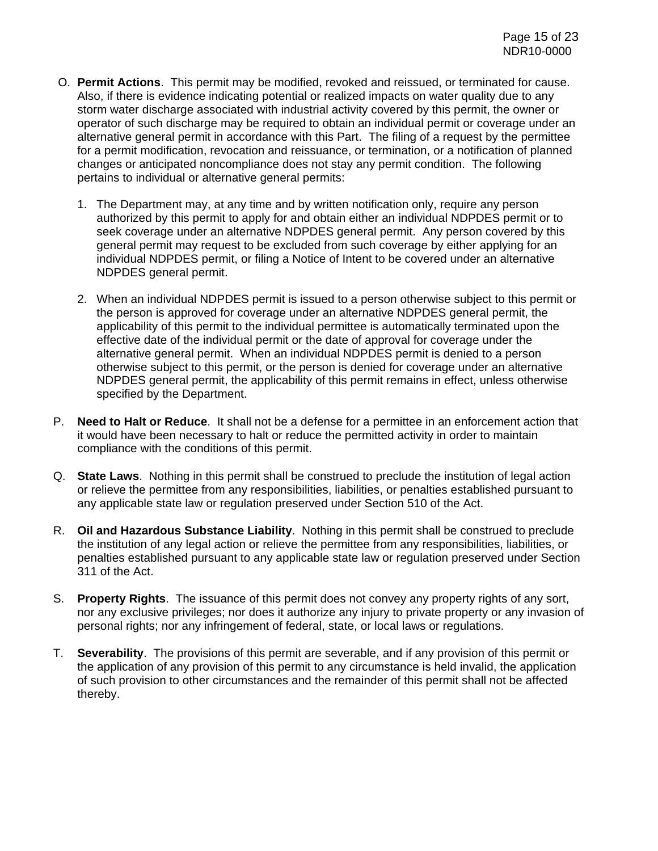- O. **Permit Actions**. This permit may be modified, revoked and reissued, or terminated for cause. Also, if there is evidence indicating potential or realized impacts on water quality due to any storm water discharge associated with industrial activity covered by this permit, the owner or operator of such discharge may be required to obtain an individual permit or coverage under an alternative general permit in accordance with this Part. The filing of a request by the permittee for a permit modification, revocation and reissuance, or termination, or a notification of planned changes or anticipated noncompliance does not stay any permit condition. The following pertains to individual or alternative general permits:
	- 1. The Department may, at any time and by written notification only, require any person authorized by this permit to apply for and obtain either an individual NDPDES permit or to seek coverage under an alternative NDPDES general permit. Any person covered by this general permit may request to be excluded from such coverage by either applying for an individual NDPDES permit, or filing a Notice of Intent to be covered under an alternative NDPDES general permit.
	- 2. When an individual NDPDES permit is issued to a person otherwise subject to this permit or the person is approved for coverage under an alternative NDPDES general permit, the applicability of this permit to the individual permittee is automatically terminated upon the effective date of the individual permit or the date of approval for coverage under the alternative general permit. When an individual NDPDES permit is denied to a person otherwise subject to this permit, or the person is denied for coverage under an alternative NDPDES general permit, the applicability of this permit remains in effect, unless otherwise specified by the Department.
- P. **Need to Halt or Reduce**. It shall not be a defense for a permittee in an enforcement action that it would have been necessary to halt or reduce the permitted activity in order to maintain compliance with the conditions of this permit.
- Q. **State Laws**. Nothing in this permit shall be construed to preclude the institution of legal action or relieve the permittee from any responsibilities, liabilities, or penalties established pursuant to any applicable state law or regulation preserved under Section 510 of the Act.
- R. **Oil and Hazardous Substance Liability**.Nothing in this permit shall be construed to preclude the institution of any legal action or relieve the permittee from any responsibilities, liabilities, or penalties established pursuant to any applicable state law or regulation preserved under Section 311 of the Act.
- S. **Property Rights**.The issuance of this permit does not convey any property rights of any sort, nor any exclusive privileges; nor does it authorize any injury to private property or any invasion of personal rights; nor any infringement of federal, state, or local laws or regulations.
- T. **Severability**.The provisions of this permit are severable, and if any provision of this permit or the application of any provision of this permit to any circumstance is held invalid, the application of such provision to other circumstances and the remainder of this permit shall not be affected thereby.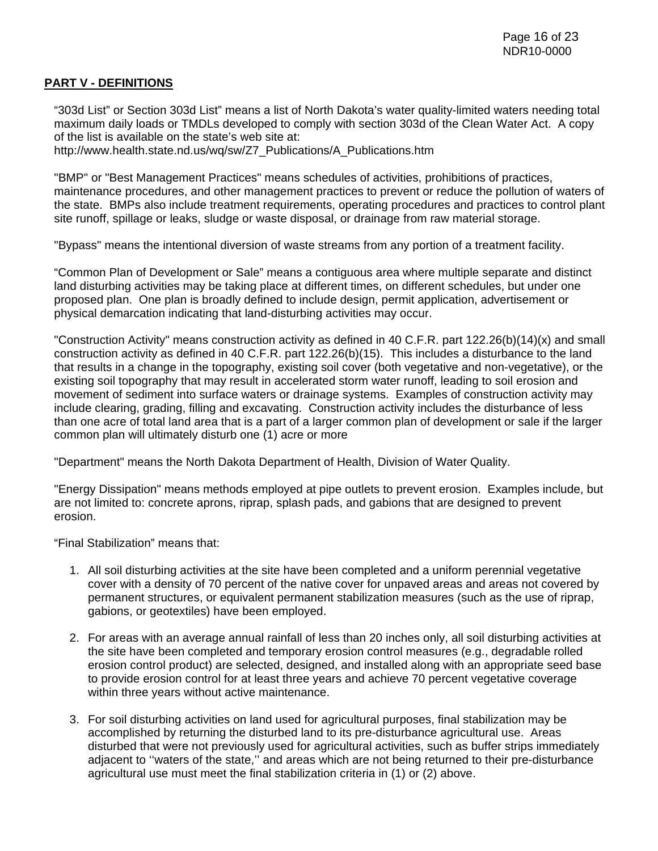### **PART V - DEFINITIONS**

"303d List" or Section 303d List" means a list of North Dakota's water quality-limited waters needing total maximum daily loads or TMDLs developed to comply with section 303d of the Clean Water Act. A copy of the list is available on the state's web site at: http://www.health.state.nd.us/wq/sw/Z7\_Publications/A\_Publications.htm

"BMP" or "Best Management Practices" means schedules of activities, prohibitions of practices, maintenance procedures, and other management practices to prevent or reduce the pollution of waters of the state. BMPs also include treatment requirements, operating procedures and practices to control plant site runoff, spillage or leaks, sludge or waste disposal, or drainage from raw material storage.

"Bypass" means the intentional diversion of waste streams from any portion of a treatment facility.

"Common Plan of Development or Sale" means a contiguous area where multiple separate and distinct land disturbing activities may be taking place at different times, on different schedules, but under one proposed plan. One plan is broadly defined to include design, permit application, advertisement or physical demarcation indicating that land-disturbing activities may occur.

"Construction Activity" means construction activity as defined in 40 C.F.R. part 122.26(b)(14)(x) and small construction activity as defined in 40 C.F.R. part 122.26(b)(15). This includes a disturbance to the land that results in a change in the topography, existing soil cover (both vegetative and non-vegetative), or the existing soil topography that may result in accelerated storm water runoff, leading to soil erosion and movement of sediment into surface waters or drainage systems. Examples of construction activity may include clearing, grading, filling and excavating. Construction activity includes the disturbance of less than one acre of total land area that is a part of a larger common plan of development or sale if the larger common plan will ultimately disturb one (1) acre or more

"Department" means the North Dakota Department of Health, Division of Water Quality.

"Energy Dissipation" means methods employed at pipe outlets to prevent erosion. Examples include, but are not limited to: concrete aprons, riprap, splash pads, and gabions that are designed to prevent erosion.

"Final Stabilization" means that:

- 1. All soil disturbing activities at the site have been completed and a uniform perennial vegetative cover with a density of 70 percent of the native cover for unpaved areas and areas not covered by permanent structures, or equivalent permanent stabilization measures (such as the use of riprap, gabions, or geotextiles) have been employed.
- 2. For areas with an average annual rainfall of less than 20 inches only, all soil disturbing activities at the site have been completed and temporary erosion control measures (e.g., degradable rolled erosion control product) are selected, designed, and installed along with an appropriate seed base to provide erosion control for at least three years and achieve 70 percent vegetative coverage within three years without active maintenance.
- 3. For soil disturbing activities on land used for agricultural purposes, final stabilization may be accomplished by returning the disturbed land to its pre-disturbance agricultural use. Areas disturbed that were not previously used for agricultural activities, such as buffer strips immediately adjacent to ''waters of the state,'' and areas which are not being returned to their pre-disturbance agricultural use must meet the final stabilization criteria in (1) or (2) above.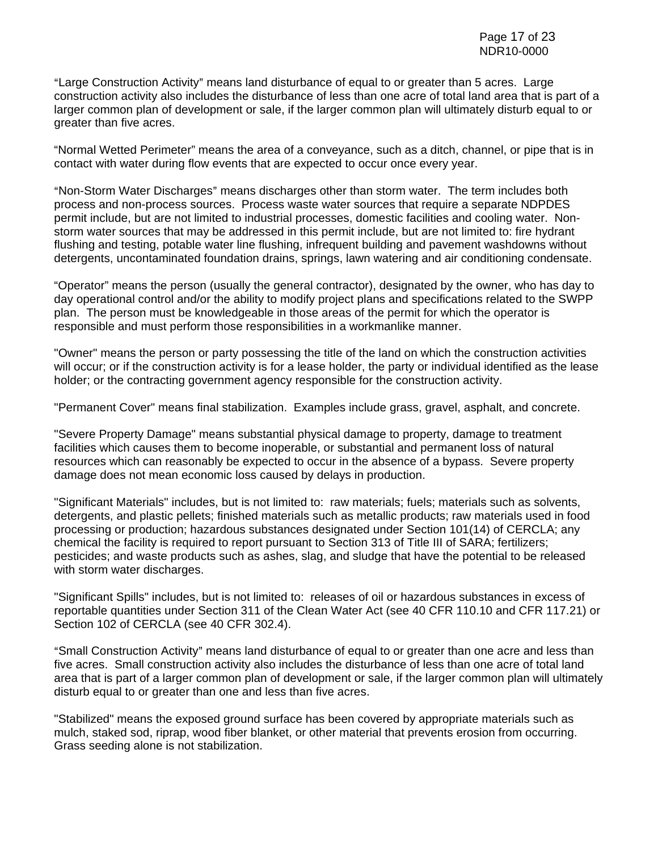"Large Construction Activity" means land disturbance of equal to or greater than 5 acres. Large construction activity also includes the disturbance of less than one acre of total land area that is part of a larger common plan of development or sale, if the larger common plan will ultimately disturb equal to or greater than five acres.

"Normal Wetted Perimeter" means the area of a conveyance, such as a ditch, channel, or pipe that is in contact with water during flow events that are expected to occur once every year.

"Non-Storm Water Discharges" means discharges other than storm water. The term includes both process and non-process sources. Process waste water sources that require a separate NDPDES permit include, but are not limited to industrial processes, domestic facilities and cooling water. Nonstorm water sources that may be addressed in this permit include, but are not limited to: fire hydrant flushing and testing, potable water line flushing, infrequent building and pavement washdowns without detergents, uncontaminated foundation drains, springs, lawn watering and air conditioning condensate.

"Operator" means the person (usually the general contractor), designated by the owner, who has day to day operational control and/or the ability to modify project plans and specifications related to the SWPP plan. The person must be knowledgeable in those areas of the permit for which the operator is responsible and must perform those responsibilities in a workmanlike manner.

"Owner" means the person or party possessing the title of the land on which the construction activities will occur; or if the construction activity is for a lease holder, the party or individual identified as the lease holder; or the contracting government agency responsible for the construction activity.

"Permanent Cover" means final stabilization. Examples include grass, gravel, asphalt, and concrete.

"Severe Property Damage" means substantial physical damage to property, damage to treatment facilities which causes them to become inoperable, or substantial and permanent loss of natural resources which can reasonably be expected to occur in the absence of a bypass. Severe property damage does not mean economic loss caused by delays in production.

"Significant Materials" includes, but is not limited to: raw materials; fuels; materials such as solvents, detergents, and plastic pellets; finished materials such as metallic products; raw materials used in food processing or production; hazardous substances designated under Section 101(14) of CERCLA; any chemical the facility is required to report pursuant to Section 313 of Title III of SARA; fertilizers; pesticides; and waste products such as ashes, slag, and sludge that have the potential to be released with storm water discharges.

"Significant Spills" includes, but is not limited to: releases of oil or hazardous substances in excess of reportable quantities under Section 311 of the Clean Water Act (see 40 CFR 110.10 and CFR 117.21) or Section 102 of CERCLA (see 40 CFR 302.4).

"Small Construction Activity" means land disturbance of equal to or greater than one acre and less than five acres. Small construction activity also includes the disturbance of less than one acre of total land area that is part of a larger common plan of development or sale, if the larger common plan will ultimately disturb equal to or greater than one and less than five acres.

"Stabilized" means the exposed ground surface has been covered by appropriate materials such as mulch, staked sod, riprap, wood fiber blanket, or other material that prevents erosion from occurring. Grass seeding alone is not stabilization.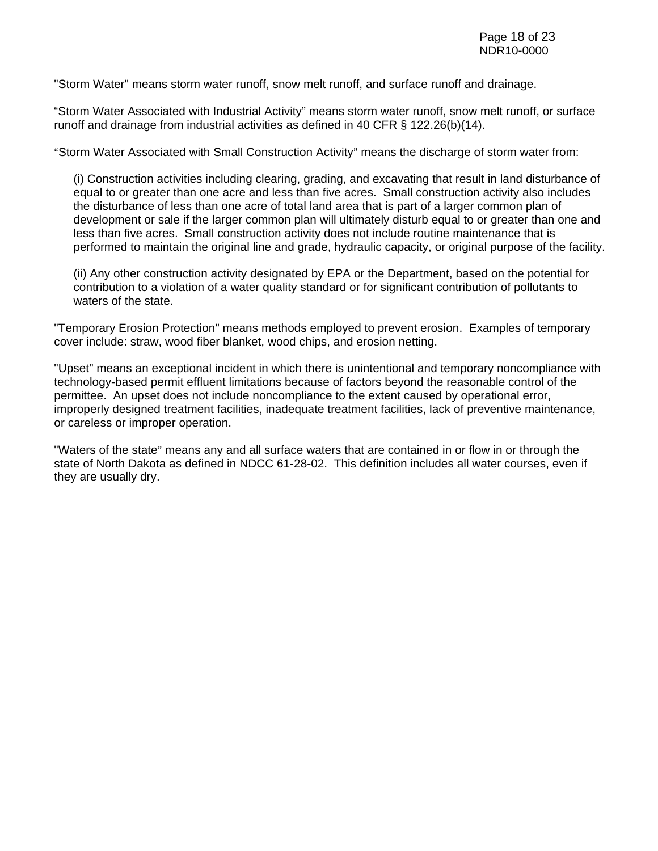"Storm Water" means storm water runoff, snow melt runoff, and surface runoff and drainage.

"Storm Water Associated with Industrial Activity" means storm water runoff, snow melt runoff, or surface runoff and drainage from industrial activities as defined in 40 CFR § 122.26(b)(14).

"Storm Water Associated with Small Construction Activity" means the discharge of storm water from:

(i) Construction activities including clearing, grading, and excavating that result in land disturbance of equal to or greater than one acre and less than five acres. Small construction activity also includes the disturbance of less than one acre of total land area that is part of a larger common plan of development or sale if the larger common plan will ultimately disturb equal to or greater than one and less than five acres. Small construction activity does not include routine maintenance that is performed to maintain the original line and grade, hydraulic capacity, or original purpose of the facility.

(ii) Any other construction activity designated by EPA or the Department, based on the potential for contribution to a violation of a water quality standard or for significant contribution of pollutants to waters of the state.

"Temporary Erosion Protection" means methods employed to prevent erosion. Examples of temporary cover include: straw, wood fiber blanket, wood chips, and erosion netting.

"Upset" means an exceptional incident in which there is unintentional and temporary noncompliance with technology-based permit effluent limitations because of factors beyond the reasonable control of the permittee. An upset does not include noncompliance to the extent caused by operational error, improperly designed treatment facilities, inadequate treatment facilities, lack of preventive maintenance, or careless or improper operation.

"Waters of the state" means any and all surface waters that are contained in or flow in or through the state of North Dakota as defined in NDCC 61-28-02. This definition includes all water courses, even if they are usually dry.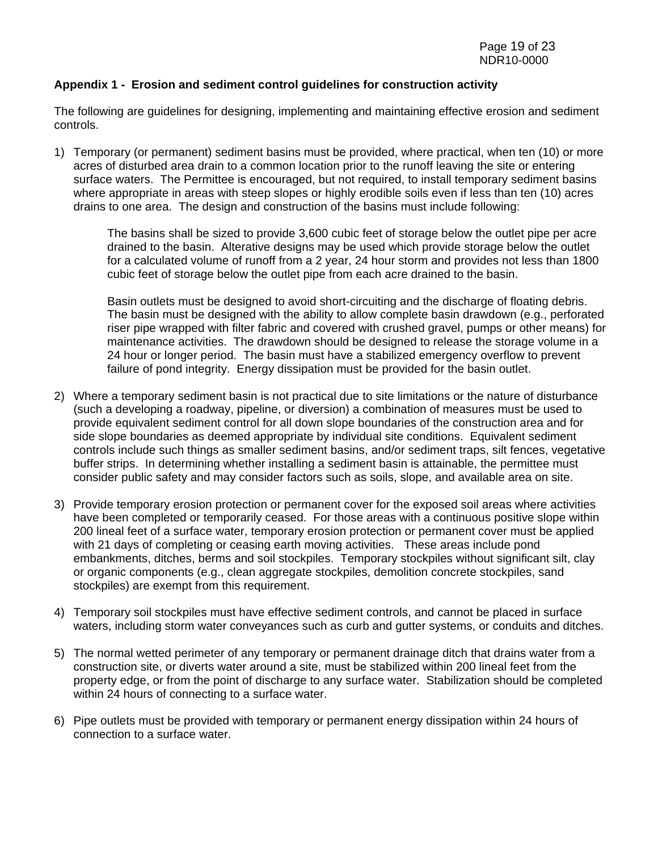### **Appendix 1 - Erosion and sediment control guidelines for construction activity**

The following are guidelines for designing, implementing and maintaining effective erosion and sediment controls.

1) Temporary (or permanent) sediment basins must be provided, where practical, when ten (10) or more acres of disturbed area drain to a common location prior to the runoff leaving the site or entering surface waters. The Permittee is encouraged, but not required, to install temporary sediment basins where appropriate in areas with steep slopes or highly erodible soils even if less than ten (10) acres drains to one area. The design and construction of the basins must include following:

The basins shall be sized to provide 3,600 cubic feet of storage below the outlet pipe per acre drained to the basin. Alterative designs may be used which provide storage below the outlet for a calculated volume of runoff from a 2 year, 24 hour storm and provides not less than 1800 cubic feet of storage below the outlet pipe from each acre drained to the basin.

Basin outlets must be designed to avoid short-circuiting and the discharge of floating debris. The basin must be designed with the ability to allow complete basin drawdown (e.g., perforated riser pipe wrapped with filter fabric and covered with crushed gravel, pumps or other means) for maintenance activities. The drawdown should be designed to release the storage volume in a 24 hour or longer period. The basin must have a stabilized emergency overflow to prevent failure of pond integrity. Energy dissipation must be provided for the basin outlet.

- 2) Where a temporary sediment basin is not practical due to site limitations or the nature of disturbance (such a developing a roadway, pipeline, or diversion) a combination of measures must be used to provide equivalent sediment control for all down slope boundaries of the construction area and for side slope boundaries as deemed appropriate by individual site conditions. Equivalent sediment controls include such things as smaller sediment basins, and/or sediment traps, silt fences, vegetative buffer strips. In determining whether installing a sediment basin is attainable, the permittee must consider public safety and may consider factors such as soils, slope, and available area on site.
- 3) Provide temporary erosion protection or permanent cover for the exposed soil areas where activities have been completed or temporarily ceased. For those areas with a continuous positive slope within 200 lineal feet of a surface water, temporary erosion protection or permanent cover must be applied with 21 days of completing or ceasing earth moving activities. These areas include pond embankments, ditches, berms and soil stockpiles. Temporary stockpiles without significant silt, clay or organic components (e.g., clean aggregate stockpiles, demolition concrete stockpiles, sand stockpiles) are exempt from this requirement.
- 4) Temporary soil stockpiles must have effective sediment controls, and cannot be placed in surface waters, including storm water conveyances such as curb and gutter systems, or conduits and ditches.
- 5) The normal wetted perimeter of any temporary or permanent drainage ditch that drains water from a construction site, or diverts water around a site, must be stabilized within 200 lineal feet from the property edge, or from the point of discharge to any surface water. Stabilization should be completed within 24 hours of connecting to a surface water.
- 6) Pipe outlets must be provided with temporary or permanent energy dissipation within 24 hours of connection to a surface water.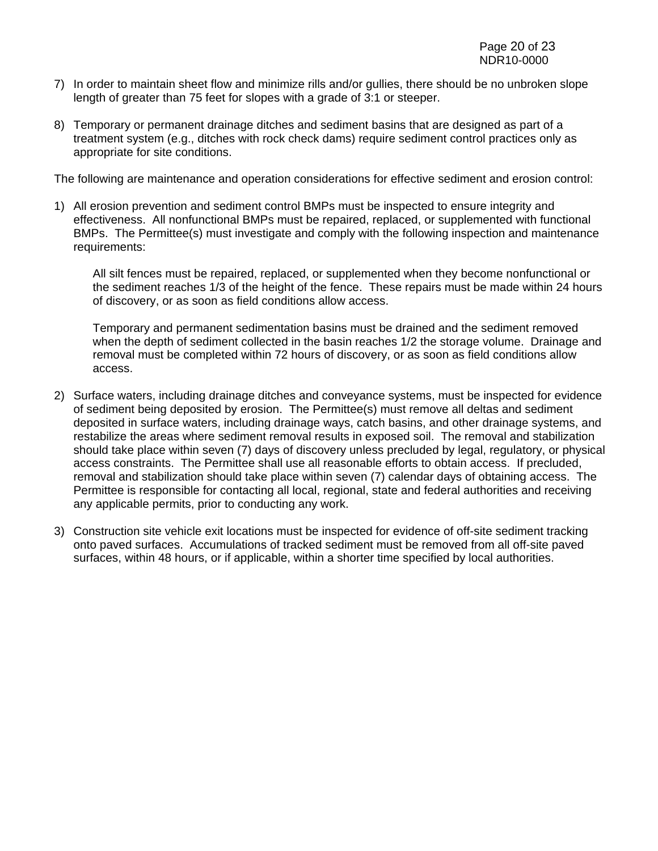- 7) In order to maintain sheet flow and minimize rills and/or gullies, there should be no unbroken slope length of greater than 75 feet for slopes with a grade of 3:1 or steeper.
- 8) Temporary or permanent drainage ditches and sediment basins that are designed as part of a treatment system (e.g., ditches with rock check dams) require sediment control practices only as appropriate for site conditions.

The following are maintenance and operation considerations for effective sediment and erosion control:

1) All erosion prevention and sediment control BMPs must be inspected to ensure integrity and effectiveness. All nonfunctional BMPs must be repaired, replaced, or supplemented with functional BMPs. The Permittee(s) must investigate and comply with the following inspection and maintenance requirements:

All silt fences must be repaired, replaced, or supplemented when they become nonfunctional or the sediment reaches 1/3 of the height of the fence. These repairs must be made within 24 hours of discovery, or as soon as field conditions allow access.

Temporary and permanent sedimentation basins must be drained and the sediment removed when the depth of sediment collected in the basin reaches 1/2 the storage volume. Drainage and removal must be completed within 72 hours of discovery, or as soon as field conditions allow access.

- 2) Surface waters, including drainage ditches and conveyance systems, must be inspected for evidence of sediment being deposited by erosion. The Permittee(s) must remove all deltas and sediment deposited in surface waters, including drainage ways, catch basins, and other drainage systems, and restabilize the areas where sediment removal results in exposed soil. The removal and stabilization should take place within seven (7) days of discovery unless precluded by legal, regulatory, or physical access constraints. The Permittee shall use all reasonable efforts to obtain access. If precluded, removal and stabilization should take place within seven (7) calendar days of obtaining access. The Permittee is responsible for contacting all local, regional, state and federal authorities and receiving any applicable permits, prior to conducting any work.
- 3) Construction site vehicle exit locations must be inspected for evidence of off-site sediment tracking onto paved surfaces. Accumulations of tracked sediment must be removed from all off-site paved surfaces, within 48 hours, or if applicable, within a shorter time specified by local authorities.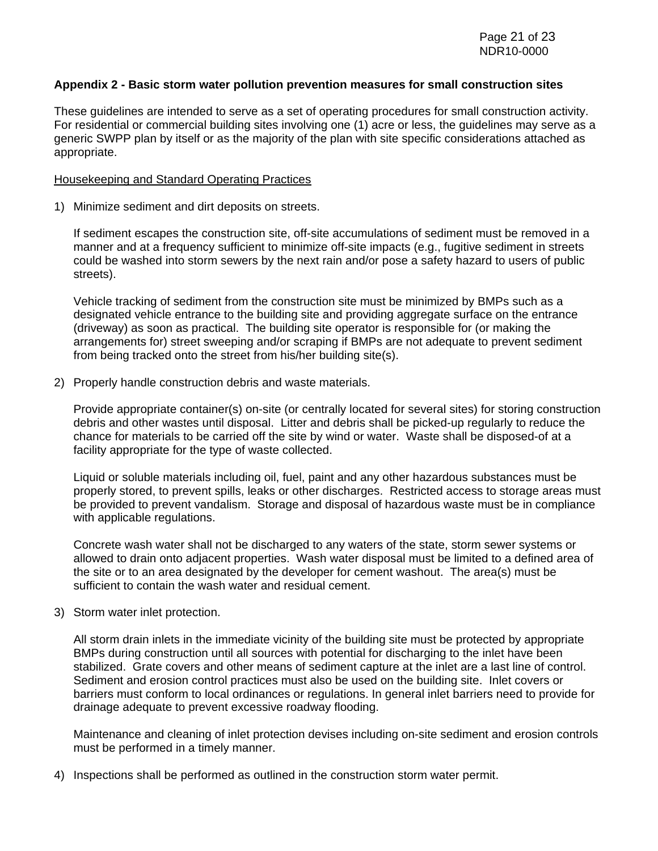#### **Appendix 2 - Basic storm water pollution prevention measures for small construction sites**

These guidelines are intended to serve as a set of operating procedures for small construction activity. For residential or commercial building sites involving one (1) acre or less, the guidelines may serve as a generic SWPP plan by itself or as the majority of the plan with site specific considerations attached as appropriate.

#### Housekeeping and Standard Operating Practices

1) Minimize sediment and dirt deposits on streets.

If sediment escapes the construction site, off-site accumulations of sediment must be removed in a manner and at a frequency sufficient to minimize off-site impacts (e.g., fugitive sediment in streets could be washed into storm sewers by the next rain and/or pose a safety hazard to users of public streets).

Vehicle tracking of sediment from the construction site must be minimized by BMPs such as a designated vehicle entrance to the building site and providing aggregate surface on the entrance (driveway) as soon as practical. The building site operator is responsible for (or making the arrangements for) street sweeping and/or scraping if BMPs are not adequate to prevent sediment from being tracked onto the street from his/her building site(s).

2) Properly handle construction debris and waste materials.

Provide appropriate container(s) on-site (or centrally located for several sites) for storing construction debris and other wastes until disposal. Litter and debris shall be picked-up regularly to reduce the chance for materials to be carried off the site by wind or water. Waste shall be disposed-of at a facility appropriate for the type of waste collected.

Liquid or soluble materials including oil, fuel, paint and any other hazardous substances must be properly stored, to prevent spills, leaks or other discharges. Restricted access to storage areas must be provided to prevent vandalism. Storage and disposal of hazardous waste must be in compliance with applicable regulations.

Concrete wash water shall not be discharged to any waters of the state, storm sewer systems or allowed to drain onto adjacent properties. Wash water disposal must be limited to a defined area of the site or to an area designated by the developer for cement washout. The area(s) must be sufficient to contain the wash water and residual cement.

3) Storm water inlet protection.

All storm drain inlets in the immediate vicinity of the building site must be protected by appropriate BMPs during construction until all sources with potential for discharging to the inlet have been stabilized. Grate covers and other means of sediment capture at the inlet are a last line of control. Sediment and erosion control practices must also be used on the building site. Inlet covers or barriers must conform to local ordinances or regulations. In general inlet barriers need to provide for drainage adequate to prevent excessive roadway flooding.

Maintenance and cleaning of inlet protection devises including on-site sediment and erosion controls must be performed in a timely manner.

4) Inspections shall be performed as outlined in the construction storm water permit.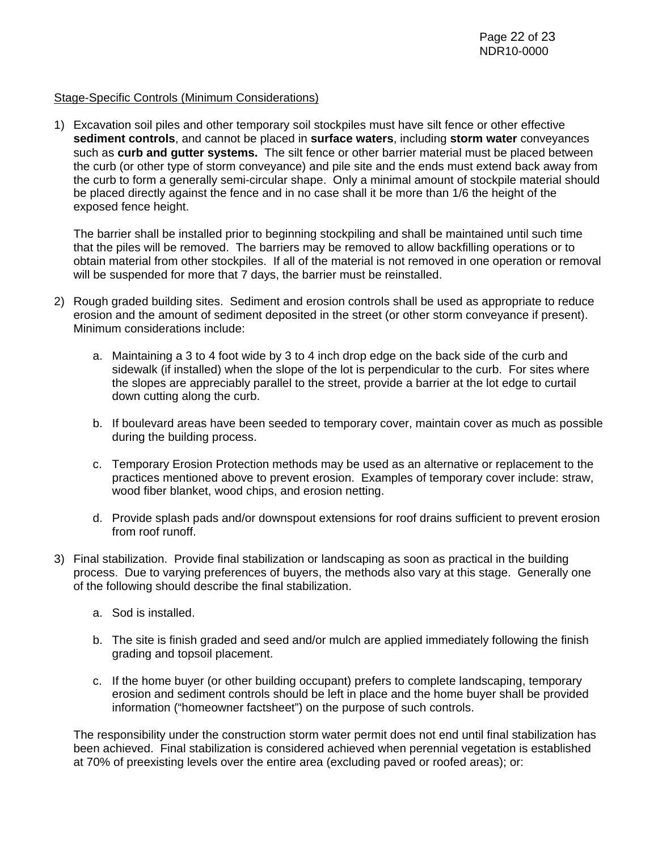### Stage-Specific Controls (Minimum Considerations)

1) Excavation soil piles and other temporary soil stockpiles must have silt fence or other effective **sediment controls**, and cannot be placed in **surface waters**, including **storm water** conveyances such as **curb and gutter systems.** The silt fence or other barrier material must be placed between the curb (or other type of storm conveyance) and pile site and the ends must extend back away from the curb to form a generally semi-circular shape. Only a minimal amount of stockpile material should be placed directly against the fence and in no case shall it be more than 1/6 the height of the exposed fence height.

The barrier shall be installed prior to beginning stockpiling and shall be maintained until such time that the piles will be removed. The barriers may be removed to allow backfilling operations or to obtain material from other stockpiles. If all of the material is not removed in one operation or removal will be suspended for more that 7 days, the barrier must be reinstalled.

- 2) Rough graded building sites. Sediment and erosion controls shall be used as appropriate to reduce erosion and the amount of sediment deposited in the street (or other storm conveyance if present). Minimum considerations include:
	- a. Maintaining a 3 to 4 foot wide by 3 to 4 inch drop edge on the back side of the curb and sidewalk (if installed) when the slope of the lot is perpendicular to the curb. For sites where the slopes are appreciably parallel to the street, provide a barrier at the lot edge to curtail down cutting along the curb.
	- b. If boulevard areas have been seeded to temporary cover, maintain cover as much as possible during the building process.
	- c. Temporary Erosion Protection methods may be used as an alternative or replacement to the practices mentioned above to prevent erosion. Examples of temporary cover include: straw, wood fiber blanket, wood chips, and erosion netting.
	- d. Provide splash pads and/or downspout extensions for roof drains sufficient to prevent erosion from roof runoff.
- 3) Final stabilization. Provide final stabilization or landscaping as soon as practical in the building process. Due to varying preferences of buyers, the methods also vary at this stage. Generally one of the following should describe the final stabilization.
	- a. Sod is installed.
	- b. The site is finish graded and seed and/or mulch are applied immediately following the finish grading and topsoil placement.
	- c. If the home buyer (or other building occupant) prefers to complete landscaping, temporary erosion and sediment controls should be left in place and the home buyer shall be provided information ("homeowner factsheet") on the purpose of such controls.

The responsibility under the construction storm water permit does not end until final stabilization has been achieved. Final stabilization is considered achieved when perennial vegetation is established at 70% of preexisting levels over the entire area (excluding paved or roofed areas); or: